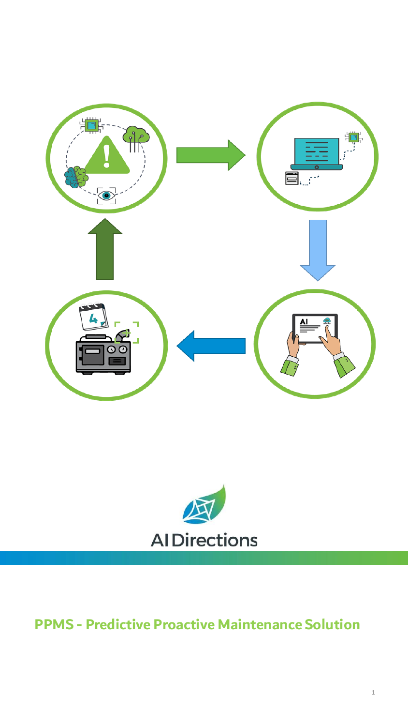



# **PPMS - Predictive Proactive Maintenance Solution**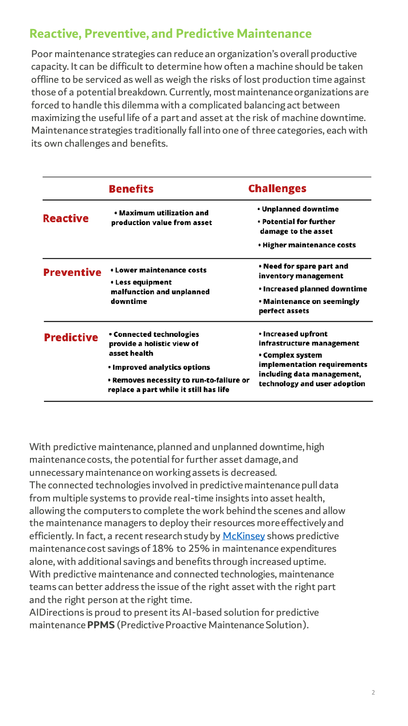## **Reactive, Preventive, and Predictive Maintenance**

Poor maintenance strategies can reduce an organization's overall productive capacity. It can be difficult to determine how often a machine should be taken offline to be serviced as well as weigh the risks of lost production time against those of a potential breakdown. Currently, most maintenance organizations are forced to handle this dilemma with a complicated balancing act between maximizing the useful life of a part and asset at the risk of machine downtime. Maintenance strategies traditionally fall into one of three categories, each with its own challenges and benefits.

|                   | <b>Benefits</b>                                                                                                                                                                                     | <b>Challenges</b>                                                                                                                                                 |
|-------------------|-----------------------------------------------------------------------------------------------------------------------------------------------------------------------------------------------------|-------------------------------------------------------------------------------------------------------------------------------------------------------------------|
| <b>Reactive</b>   | • Maximum utilization and<br>production value from asset                                                                                                                                            | • Unplanned downtime<br>• Potential for further<br>damage to the asset<br>• Higher maintenance costs                                                              |
| <b>Preventive</b> | • Lower maintenance costs<br>• Less equipment<br>malfunction and unplanned<br>downtime                                                                                                              | • Need for spare part and<br>inventory management<br>• Increased planned downtime<br>• Maintenance on seemingly<br>perfect assets                                 |
| <b>Predictive</b> | <b>• Connected technologies</b><br>provide a holistic view of<br>asset health<br>• Improved analytics options<br>• Removes necessity to run-to-failure or<br>replace a part while it still has life | • Increased upfront<br>infrastructure management<br>• Complex system<br>implementation requirements<br>including data management,<br>technology and user adoption |

With predictive maintenance, planned and unplanned downtime, high maintenance costs, the potential for further asset damage, and unnecessary maintenance on working assets is decreased. The connected technologies involved in predictive maintenance pull data from multiple systems to provide real-time insights into asset health, allowing the computers to complete the work behind the scenes and allow the maintenance managers to deploy their resources more effectively and efficiently. In fact, a recent research study by [McKinsey](https://www.mckinsey.com/business-functions/operations/our-insights/digitally-enabled-reliability-beyond-predictive-maintenance) shows predictive maintenance cost savings of 18% to 25% in maintenance expenditures alone, with additional savings and benefits through increased uptime. With predictive maintenance and connected technologies, maintenance teams can better address the issue of the right asset with the right part and the right person at the right time.

AIDirections is proud to present its AI-based solution for predictive maintenance **PPMS** (Predictive Proactive Maintenance Solution).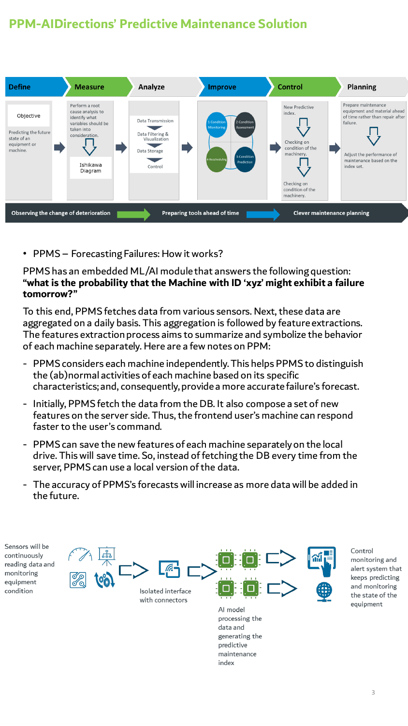# **PPM-AIDirections' Predictive Maintenance Solution**



• PPMS – Forecasting Failures: How it works?

PPMS has an embedded ML/AI module that answers the following question: **"what is the probability that the Machine with ID 'xyz' might exhibit a failure tomorrow?"**

To this end, PPMS fetches data from various sensors. Next, these data are aggregated on a daily basis. This aggregation is followed by feature extractions. The features extraction process aims to summarize and symbolize the behavior of each machine separately. Here are a few notes on PPM:

- PPMS considers each machine independently. This helps PPMS to distinguish the (ab)normal activities of each machine based on its specific characteristics; and, consequently, provide a more accurate failure's forecast.
- Initially, PPMS fetch the data from the DB. It also compose a set of new features on the server side. Thus, the frontend user's machine can respond faster to the user's command.
- PPMS can save the new features of each machine separately on the local drive. This will save time. So, instead of fetching the DB every time from the server, PPMS can use a local version of the data.
- The accuracy of PPMS's forecasts will increase as more data will be added in the future.

Sensors will be continuously reading data and monitoring equipment condition



generating the predictive maintenance index

Control monitoring and alert system that keeps predicting and monitoring the state of the equipment